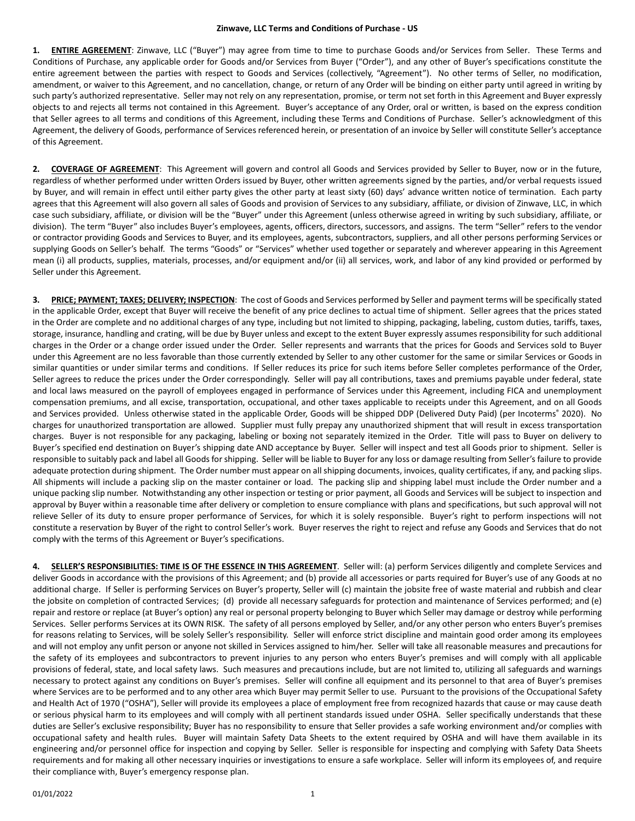**1. ENTIRE AGREEMENT**: Zinwave, LLC ("Buyer") may agree from time to time to purchase Goods and/or Services from Seller. These Terms and Conditions of Purchase, any applicable order for Goods and/or Services from Buyer ("Order"), and any other of Buyer's specifications constitute the entire agreement between the parties with respect to Goods and Services (collectively, "Agreement"). No other terms of Seller, no modification, amendment, or waiver to this Agreement, and no cancellation, change, or return of any Order will be binding on either party until agreed in writing by such party's authorized representative. Seller may not rely on any representation, promise, or term not set forth in this Agreement and Buyer expressly objects to and rejects all terms not contained in this Agreement. Buyer's acceptance of any Order, oral or written, is based on the express condition that Seller agrees to all terms and conditions of this Agreement, including these Terms and Conditions of Purchase. Seller's acknowledgment of this Agreement, the delivery of Goods, performance of Services referenced herein, or presentation of an invoice by Seller will constitute Seller's acceptance of this Agreement.

**2. COVERAGE OF AGREEMENT**: This Agreement will govern and control all Goods and Services provided by Seller to Buyer, now or in the future, regardless of whether performed under written Orders issued by Buyer, other written agreements signed by the parties, and/or verbal requests issued by Buyer, and will remain in effect until either party gives the other party at least sixty (60) days' advance written notice of termination. Each party agrees that this Agreement will also govern all sales of Goods and provision of Services to any subsidiary, affiliate, or division of Zinwave, LLC, in which case such subsidiary, affiliate, or division will be the "Buyer" under this Agreement (unless otherwise agreed in writing by such subsidiary, affiliate, or division). The term "Buyer" also includes Buyer's employees, agents, officers, directors, successors, and assigns. The term "Seller" refers to the vendor or contractor providing Goods and Services to Buyer, and its employees, agents, subcontractors, suppliers, and all other persons performing Services or supplying Goods on Seller's behalf. The terms "Goods" or "Services" whether used together or separately and wherever appearing in this Agreement mean (i) all products, supplies, materials, processes, and/or equipment and/or (ii) all services, work, and labor of any kind provided or performed by Seller under this Agreement.

**3. PRICE; PAYMENT; TAXES; DELIVERY; INSPECTION**: The cost of Goods and Services performed by Seller and payment terms will be specifically stated in the applicable Order, except that Buyer will receive the benefit of any price declines to actual time of shipment. Seller agrees that the prices stated in the Order are complete and no additional charges of any type, including but not limited to shipping, packaging, labeling, custom duties, tariffs, taxes, storage, insurance, handling and crating, will be due by Buyer unless and except to the extent Buyer expressly assumes responsibility for such additional charges in the Order or a change order issued under the Order. Seller represents and warrants that the prices for Goods and Services sold to Buyer under this Agreement are no less favorable than those currently extended by Seller to any other customer for the same or similar Services or Goods in similar quantities or under similar terms and conditions. If Seller reduces its price for such items before Seller completes performance of the Order, Seller agrees to reduce the prices under the Order correspondingly. Seller will pay all contributions, taxes and premiums payable under federal, state and local laws measured on the payroll of employees engaged in performance of Services under this Agreement, including FICA and unemployment compensation premiums, and all excise, transportation, occupational, and other taxes applicable to receipts under this Agreement, and on all Goods and Services provided. Unless otherwise stated in the applicable Order, Goods will be shipped DDP (Delivered Duty Paid) (per Incoterms® 2020). No charges for unauthorized transportation are allowed. Supplier must fully prepay any unauthorized shipment that will result in excess transportation charges. Buyer is not responsible for any packaging, labeling or boxing not separately itemized in the Order. Title will pass to Buyer on delivery to Buyer's specified end destination on Buyer's shipping date AND acceptance by Buyer. Seller will inspect and test all Goods prior to shipment. Seller is responsible to suitably pack and label all Goods for shipping. Seller will be liable to Buyer for any loss or damage resulting from Seller's failure to provide adequate protection during shipment. The Order number must appear on all shipping documents, invoices, quality certificates, if any, and packing slips. All shipments will include a packing slip on the master container or load. The packing slip and shipping label must include the Order number and a unique packing slip number. Notwithstanding any other inspection or testing or prior payment, all Goods and Services will be subject to inspection and approval by Buyer within a reasonable time after delivery or completion to ensure compliance with plans and specifications, but such approval will not relieve Seller of its duty to ensure proper performance of Services, for which it is solely responsible. Buyer's right to perform inspections will not constitute a reservation by Buyer of the right to control Seller's work. Buyer reserves the right to reject and refuse any Goods and Services that do not comply with the terms of this Agreement or Buyer's specifications.

**4. SELLER'S RESPONSIBILITIES: TIME IS OF THE ESSENCE IN THIS AGREEMENT**. Seller will: (a) perform Services diligently and complete Services and deliver Goods in accordance with the provisions of this Agreement; and (b) provide all accessories or parts required for Buyer's use of any Goods at no additional charge. If Seller is performing Services on Buyer's property, Seller will (c) maintain the jobsite free of waste material and rubbish and clear the jobsite on completion of contracted Services; (d) provide all necessary safeguards for protection and maintenance of Services performed; and (e) repair and restore or replace (at Buyer's option) any real or personal property belonging to Buyer which Seller may damage or destroy while performing Services. Seller performs Services at its OWN RISK. The safety of all persons employed by Seller, and/or any other person who enters Buyer's premises for reasons relating to Services, will be solely Seller's responsibility. Seller will enforce strict discipline and maintain good order among its employees and will not employ any unfit person or anyone not skilled in Services assigned to him/her. Seller will take all reasonable measures and precautions for the safety of its employees and subcontractors to prevent injuries to any person who enters Buyer's premises and will comply with all applicable provisions of federal, state, and local safety laws. Such measures and precautions include, but are not limited to, utilizing all safeguards and warnings necessary to protect against any conditions on Buyer's premises. Seller will confine all equipment and its personnel to that area of Buyer's premises where Services are to be performed and to any other area which Buyer may permit Seller to use. Pursuant to the provisions of the Occupational Safety and Health Act of 1970 ("OSHA"), Seller will provide its employees a place of employment free from recognized hazards that cause or may cause death or serious physical harm to its employees and will comply with all pertinent standards issued under OSHA. Seller specifically understands that these duties are Seller's exclusive responsibility; Buyer has no responsibility to ensure that Seller provides a safe working environment and/or complies with occupational safety and health rules. Buyer will maintain Safety Data Sheets to the extent required by OSHA and will have them available in its engineering and/or personnel office for inspection and copying by Seller. Seller is responsible for inspecting and complying with Safety Data Sheets requirements and for making all other necessary inquiries or investigations to ensure a safe workplace. Seller will inform its employees of, and require their compliance with, Buyer's emergency response plan.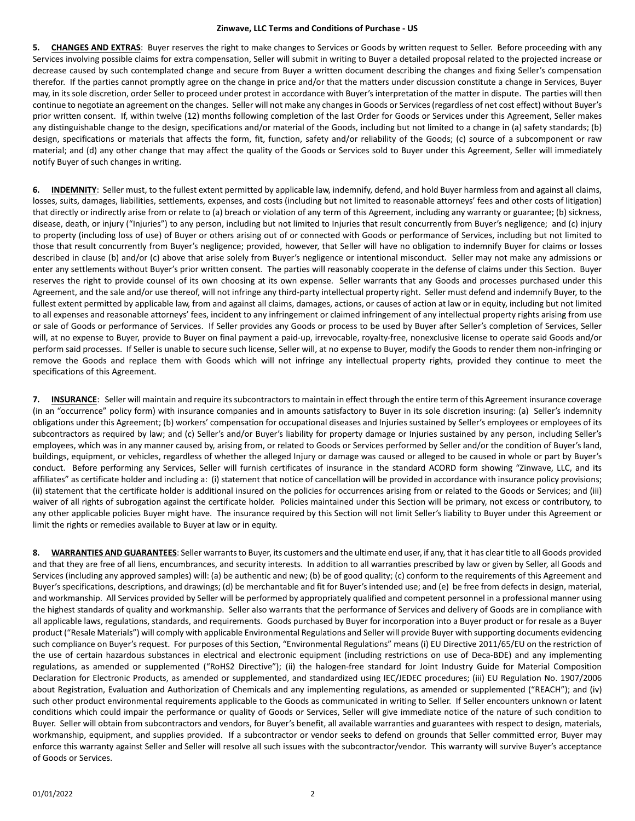**5. CHANGES AND EXTRAS**: Buyer reserves the right to make changes to Services or Goods by written request to Seller. Before proceeding with any Services involving possible claims for extra compensation, Seller will submit in writing to Buyer a detailed proposal related to the projected increase or decrease caused by such contemplated change and secure from Buyer a written document describing the changes and fixing Seller's compensation therefor. If the parties cannot promptly agree on the change in price and/or that the matters under discussion constitute a change in Services, Buyer may, in its sole discretion, order Seller to proceed under protest in accordance with Buyer's interpretation of the matter in dispute. The parties will then continue to negotiate an agreement on the changes. Seller will not make any changes in Goods or Services (regardless of net cost effect) without Buyer's prior written consent. If, within twelve (12) months following completion of the last Order for Goods or Services under this Agreement, Seller makes any distinguishable change to the design, specifications and/or material of the Goods, including but not limited to a change in (a) safety standards; (b) design, specifications or materials that affects the form, fit, function, safety and/or reliability of the Goods; (c) source of a subcomponent or raw material; and (d) any other change that may affect the quality of the Goods or Services sold to Buyer under this Agreement, Seller will immediately notify Buyer of such changes in writing.

**6. INDEMNITY**: Seller must, to the fullest extent permitted by applicable law, indemnify, defend, and hold Buyer harmlessfrom and against all claims, losses, suits, damages, liabilities, settlements, expenses, and costs (including but not limited to reasonable attorneys' fees and other costs of litigation) that directly or indirectly arise from or relate to (a) breach or violation of any term of this Agreement, including any warranty or guarantee; (b) sickness, disease, death, or injury ("Injuries") to any person, including but not limited to Injuries that result concurrently from Buyer's negligence; and (c) injury to property (including loss of use) of Buyer or others arising out of or connected with Goods or performance of Services, including but not limited to those that result concurrently from Buyer's negligence; provided, however, that Seller will have no obligation to indemnify Buyer for claims or losses described in clause (b) and/or (c) above that arise solely from Buyer's negligence or intentional misconduct. Seller may not make any admissions or enter any settlements without Buyer's prior written consent. The parties will reasonably cooperate in the defense of claims under this Section. Buyer reserves the right to provide counsel of its own choosing at its own expense. Seller warrants that any Goods and processes purchased under this Agreement, and the sale and/or use thereof, will not infringe any third-party intellectual property right. Seller must defend and indemnify Buyer, to the fullest extent permitted by applicable law, from and against all claims, damages, actions, or causes of action at law or in equity, including but not limited to all expenses and reasonable attorneys' fees, incident to any infringement or claimed infringement of any intellectual property rights arising from use or sale of Goods or performance of Services. If Seller provides any Goods or process to be used by Buyer after Seller's completion of Services, Seller will, at no expense to Buyer, provide to Buyer on final payment a paid-up, irrevocable, royalty-free, nonexclusive license to operate said Goods and/or perform said processes. If Seller is unable to secure such license, Seller will, at no expense to Buyer, modify the Goods to render them non-infringing or remove the Goods and replace them with Goods which will not infringe any intellectual property rights, provided they continue to meet the specifications of this Agreement.

**7. INSURANCE**: Seller will maintain and require its subcontractors to maintain in effect through the entire term of this Agreement insurance coverage (in an "occurrence" policy form) with insurance companies and in amounts satisfactory to Buyer in its sole discretion insuring: (a) Seller's indemnity obligations under this Agreement; (b) workers' compensation for occupational diseases and Injuries sustained by Seller's employees or employees of its subcontractors as required by law; and (c) Seller's and/or Buyer's liability for property damage or Injuries sustained by any person, including Seller's employees, which was in any manner caused by, arising from, or related to Goods or Services performed by Seller and/or the condition of Buyer's land, buildings, equipment, or vehicles, regardless of whether the alleged Injury or damage was caused or alleged to be caused in whole or part by Buyer's conduct. Before performing any Services, Seller will furnish certificates of insurance in the standard ACORD form showing "Zinwave, LLC, and its affiliates" as certificate holder and including a: (i) statement that notice of cancellation will be provided in accordance with insurance policy provisions; (ii) statement that the certificate holder is additional insured on the policies for occurrences arising from or related to the Goods or Services; and (iii) waiver of all rights of subrogation against the certificate holder. Policies maintained under this Section will be primary, not excess or contributory, to any other applicable policies Buyer might have. The insurance required by this Section will not limit Seller's liability to Buyer under this Agreement or limit the rights or remedies available to Buyer at law or in equity.

**8. WARRANTIES AND GUARANTEES**: Seller warrants to Buyer, its customers and the ultimate end user, if any, that it has clear title to all Goods provided and that they are free of all liens, encumbrances, and security interests. In addition to all warranties prescribed by law or given by Seller, all Goods and Services (including any approved samples) will: (a) be authentic and new; (b) be of good quality; (c) conform to the requirements of this Agreement and Buyer's specifications, descriptions, and drawings; (d) be merchantable and fit for Buyer's intended use; and (e) be free from defects in design, material, and workmanship. All Services provided by Seller will be performed by appropriately qualified and competent personnel in a professional manner using the highest standards of quality and workmanship. Seller also warrants that the performance of Services and delivery of Goods are in compliance with all applicable laws, regulations, standards, and requirements. Goods purchased by Buyer for incorporation into a Buyer product or for resale as a Buyer product ("Resale Materials") will comply with applicable Environmental Regulations and Seller will provide Buyer with supporting documents evidencing such compliance on Buyer's request. For purposes of this Section, "Environmental Regulations" means (i) EU Directive 2011/65/EU on the restriction of the use of certain hazardous substances in electrical and electronic equipment (including restrictions on use of Deca-BDE) and any implementing regulations, as amended or supplemented ("RoHS2 Directive"); (ii) the halogen-free standard for Joint Industry Guide for Material Composition Declaration for Electronic Products, as amended or supplemented, and standardized using IEC/JEDEC procedures; (iii) EU Regulation No. 1907/2006 about Registration, Evaluation and Authorization of Chemicals and any implementing regulations, as amended or supplemented ("REACH"); and (iv) such other product environmental requirements applicable to the Goods as communicated in writing to Seller. If Seller encounters unknown or latent conditions which could impair the performance or quality of Goods or Services, Seller will give immediate notice of the nature of such condition to Buyer. Seller will obtain from subcontractors and vendors, for Buyer's benefit, all available warranties and guarantees with respect to design, materials, workmanship, equipment, and supplies provided. If a subcontractor or vendor seeks to defend on grounds that Seller committed error, Buyer may enforce this warranty against Seller and Seller will resolve all such issues with the subcontractor/vendor. This warranty will survive Buyer's acceptance of Goods or Services.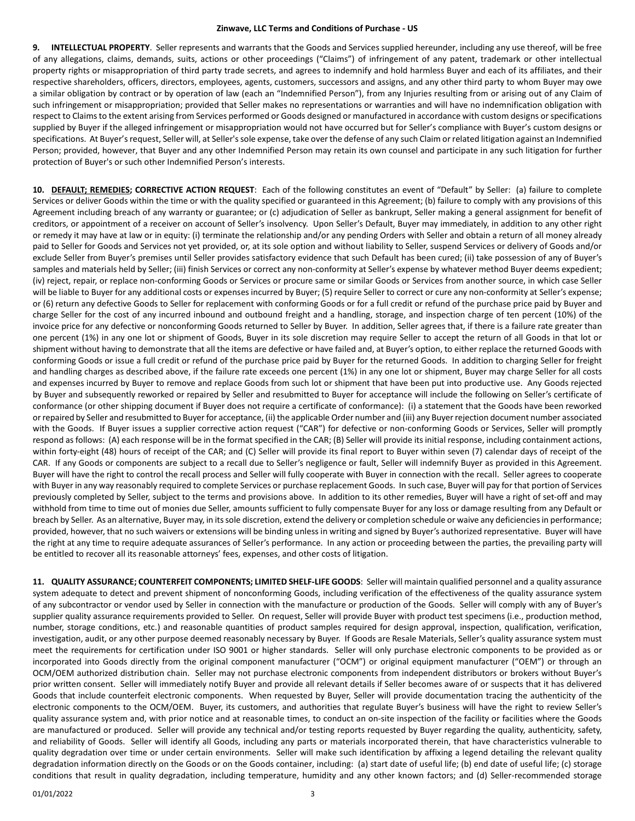**9. INTELLECTUAL PROPERTY**. Seller represents and warrants that the Goods and Services supplied hereunder, including any use thereof, will be free of any allegations, claims, demands, suits, actions or other proceedings ("Claims") of infringement of any patent, trademark or other intellectual property rights or misappropriation of third party trade secrets, and agrees to indemnify and hold harmless Buyer and each of its affiliates, and their respective shareholders, officers, directors, employees, agents, customers, successors and assigns, and any other third party to whom Buyer may owe a similar obligation by contract or by operation of law (each an "Indemnified Person"), from any Injuries resulting from or arising out of any Claim of such infringement or misappropriation; provided that Seller makes no representations or warranties and will have no indemnification obligation with respect to Claims to the extent arising from Services performed or Goods designed or manufactured in accordance with custom designs or specifications supplied by Buyer if the alleged infringement or misappropriation would not have occurred but for Seller's compliance with Buyer's custom designs or specifications. At Buyer's request, Seller will, at Seller's sole expense, take over the defense of any such Claim or related litigation against an Indemnified Person; provided, however, that Buyer and any other Indemnified Person may retain its own counsel and participate in any such litigation for further protection of Buyer's or such other Indemnified Person's interests.

**10. DEFAULT; REMEDIES; CORRECTIVE ACTION REQUEST**: Each of the following constitutes an event of "Default" by Seller: (a) failure to complete Services or deliver Goods within the time or with the quality specified or guaranteed in this Agreement; (b) failure to comply with any provisions of this Agreement including breach of any warranty or guarantee; or (c) adjudication of Seller as bankrupt, Seller making a general assignment for benefit of creditors, or appointment of a receiver on account of Seller's insolvency. Upon Seller's Default, Buyer may immediately, in addition to any other right or remedy it may have at law or in equity: (i) terminate the relationship and/or any pending Orders with Seller and obtain a return of all money already paid to Seller for Goods and Services not yet provided, or, at its sole option and without liability to Seller, suspend Services or delivery of Goods and/or exclude Seller from Buyer's premises until Seller provides satisfactory evidence that such Default has been cured; (ii) take possession of any of Buyer's samples and materials held by Seller; (iii) finish Services or correct any non-conformity at Seller's expense by whatever method Buyer deems expedient; (iv) reject, repair, or replace non-conforming Goods or Services or procure same or similar Goods or Services from another source, in which case Seller will be liable to Buyer for any additional costs or expenses incurred by Buyer; (5) require Seller to correct or cure any non-conformity at Seller's expense; or (6) return any defective Goods to Seller for replacement with conforming Goods or for a full credit or refund of the purchase price paid by Buyer and charge Seller for the cost of any incurred inbound and outbound freight and a handling, storage, and inspection charge of ten percent (10%) of the invoice price for any defective or nonconforming Goods returned to Seller by Buyer. In addition, Seller agrees that, if there is a failure rate greater than one percent (1%) in any one lot or shipment of Goods, Buyer in its sole discretion may require Seller to accept the return of all Goods in that lot or shipment without having to demonstrate that all the items are defective or have failed and, at Buyer's option, to either replace the returned Goods with conforming Goods or issue a full credit or refund of the purchase price paid by Buyer for the returned Goods. In addition to charging Seller for freight and handling charges as described above, if the failure rate exceeds one percent (1%) in any one lot or shipment, Buyer may charge Seller for all costs and expenses incurred by Buyer to remove and replace Goods from such lot or shipment that have been put into productive use. Any Goods rejected by Buyer and subsequently reworked or repaired by Seller and resubmitted to Buyer for acceptance will include the following on Seller's certificate of conformance (or other shipping document if Buyer does not require a certificate of conformance): (i) a statement that the Goods have been reworked or repaired by Seller and resubmitted to Buyer for acceptance, (ii) the applicable Order number and (iii) any Buyer rejection document number associated with the Goods. If Buyer issues a supplier corrective action request ("CAR") for defective or non-conforming Goods or Services, Seller will promptly respond as follows: (A) each response will be in the format specified in the CAR; (B) Seller will provide its initial response, including containment actions, within forty-eight (48) hours of receipt of the CAR; and (C) Seller will provide its final report to Buyer within seven (7) calendar days of receipt of the CAR. If any Goods or components are subject to a recall due to Seller's negligence or fault, Seller will indemnify Buyer as provided in this Agreement. Buyer will have the right to control the recall process and Seller will fully cooperate with Buyer in connection with the recall. Seller agrees to cooperate with Buyer in any way reasonably required to complete Services or purchase replacement Goods. In such case, Buyer will pay for that portion of Services previously completed by Seller, subject to the terms and provisions above. In addition to its other remedies, Buyer will have a right of set-off and may withhold from time to time out of monies due Seller, amounts sufficient to fully compensate Buyer for any loss or damage resulting from any Default or breach by Seller. As an alternative, Buyer may, in its sole discretion, extend the delivery or completion schedule or waive any deficiencies in performance; provided, however, that no such waivers or extensions will be binding unless in writing and signed by Buyer's authorized representative. Buyer will have the right at any time to require adequate assurances of Seller's performance. In any action or proceeding between the parties, the prevailing party will be entitled to recover all its reasonable attorneys' fees, expenses, and other costs of litigation.

**11. QUALITY ASSURANCE; COUNTERFEIT COMPONENTS; LIMITED SHELF-LIFE GOODS**: Seller will maintain qualified personnel and a quality assurance system adequate to detect and prevent shipment of nonconforming Goods, including verification of the effectiveness of the quality assurance system of any subcontractor or vendor used by Seller in connection with the manufacture or production of the Goods. Seller will comply with any of Buyer's supplier quality assurance requirements provided to Seller. On request, Seller will provide Buyer with product test specimens (i.e., production method, number, storage conditions, etc.) and reasonable quantities of product samples required for design approval, inspection, qualification, verification, investigation, audit, or any other purpose deemed reasonably necessary by Buyer. If Goods are Resale Materials, Seller's quality assurance system must meet the requirements for certification under ISO 9001 or higher standards. Seller will only purchase electronic components to be provided as or incorporated into Goods directly from the original component manufacturer ("OCM") or original equipment manufacturer ("OEM") or through an OCM/OEM authorized distribution chain. Seller may not purchase electronic components from independent distributors or brokers without Buyer's prior written consent. Seller will immediately notify Buyer and provide all relevant details if Seller becomes aware of or suspects that it has delivered Goods that include counterfeit electronic components. When requested by Buyer, Seller will provide documentation tracing the authenticity of the electronic components to the OCM/OEM. Buyer, its customers, and authorities that regulate Buyer's business will have the right to review Seller's quality assurance system and, with prior notice and at reasonable times, to conduct an on-site inspection of the facility or facilities where the Goods are manufactured or produced. Seller will provide any technical and/or testing reports requested by Buyer regarding the quality, authenticity, safety, and reliability of Goods. Seller will identify all Goods, including any parts or materials incorporated therein, that have characteristics vulnerable to quality degradation over time or under certain environments. Seller will make such identification by affixing a legend detailing the relevant quality degradation information directly on the Goods or on the Goods container, including: (a) start date of useful life; (b) end date of useful life; (c) storage conditions that result in quality degradation, including temperature, humidity and any other known factors; and (d) Seller-recommended storage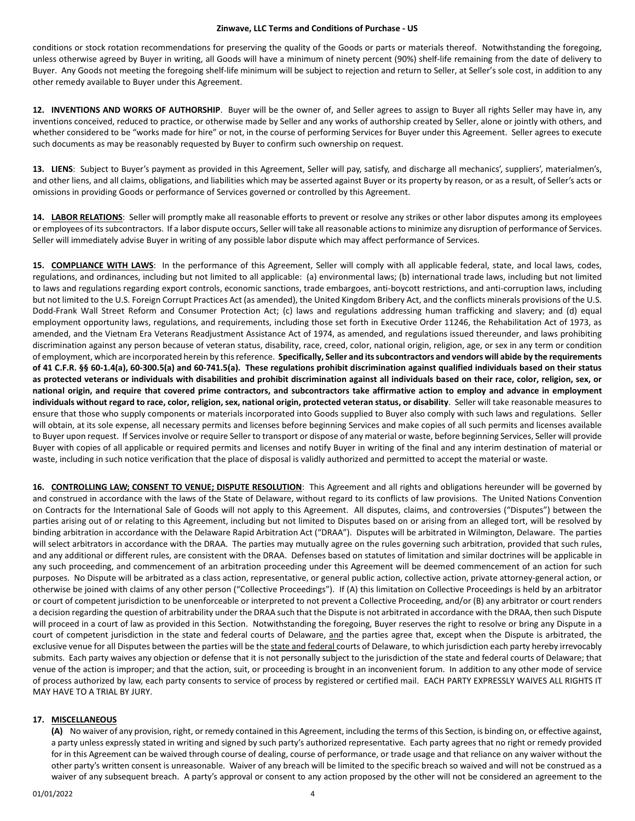conditions or stock rotation recommendations for preserving the quality of the Goods or parts or materials thereof. Notwithstanding the foregoing, unless otherwise agreed by Buyer in writing, all Goods will have a minimum of ninety percent (90%) shelf-life remaining from the date of delivery to Buyer. Any Goods not meeting the foregoing shelf-life minimum will be subject to rejection and return to Seller, at Seller's sole cost, in addition to any other remedy available to Buyer under this Agreement.

**12. INVENTIONS AND WORKS OF AUTHORSHIP**. Buyer will be the owner of, and Seller agrees to assign to Buyer all rights Seller may have in, any inventions conceived, reduced to practice, or otherwise made by Seller and any works of authorship created by Seller, alone or jointly with others, and whether considered to be "works made for hire" or not, in the course of performing Services for Buyer under this Agreement. Seller agrees to execute such documents as may be reasonably requested by Buyer to confirm such ownership on request.

**13. LIENS**: Subject to Buyer's payment as provided in this Agreement, Seller will pay, satisfy, and discharge all mechanics', suppliers', materialmen's, and other liens, and all claims, obligations, and liabilities which may be asserted against Buyer or its property by reason, or as a result, of Seller's acts or omissions in providing Goods or performance of Services governed or controlled by this Agreement.

**14. LABOR RELATIONS**: Seller will promptly make all reasonable efforts to prevent or resolve any strikes or other labor disputes among its employees or employees of its subcontractors. If a labor dispute occurs, Seller will take all reasonable actions to minimize any disruption of performance of Services. Seller will immediately advise Buyer in writing of any possible labor dispute which may affect performance of Services.

**15. COMPLIANCE WITH LAWS**: In the performance of this Agreement, Seller will comply with all applicable federal, state, and local laws, codes, regulations, and ordinances, including but not limited to all applicable: (a) environmental laws; (b) international trade laws, including but not limited to laws and regulations regarding export controls, economic sanctions, trade embargoes, anti-boycott restrictions, and anti-corruption laws, including but not limited to the U.S. Foreign Corrupt Practices Act (as amended), the United Kingdom Bribery Act, and the conflicts minerals provisions of the U.S. Dodd-Frank Wall Street Reform and Consumer Protection Act; (c) laws and regulations addressing human trafficking and slavery; and (d) equal employment opportunity laws, regulations, and requirements, including those set forth in Executive Order 11246, the Rehabilitation Act of 1973, as amended, and the Vietnam Era Veterans Readjustment Assistance Act of 1974, as amended, and regulations issued thereunder, and laws prohibiting discrimination against any person because of veteran status, disability, race, creed, color, national origin, religion, age, or sex in any term or condition of employment, which are incorporated herein by this reference. **Specifically, Seller and its subcontractors and vendors will abide by the requirements of 41 C.F.R. §§ 60-1.4(a), 60-300.5(a) and 60-741.5(a). These regulations prohibit discrimination against qualified individuals based on their status as protected veterans or individuals with disabilities and prohibit discrimination against all individuals based on their race, color, religion, sex, or national origin, and require that covered prime contractors, and subcontractors take affirmative action to employ and advance in employment individuals without regard to race, color, religion, sex, national origin, protected veteran status, or disability**. Seller will take reasonable measures to ensure that those who supply components or materials incorporated into Goods supplied to Buyer also comply with such laws and regulations. Seller will obtain, at its sole expense, all necessary permits and licenses before beginning Services and make copies of all such permits and licenses available to Buyer upon request. If Servicesinvolve or require Seller to transport or dispose of any material or waste, before beginning Services, Seller will provide Buyer with copies of all applicable or required permits and licenses and notify Buyer in writing of the final and any interim destination of material or waste, including in such notice verification that the place of disposal is validly authorized and permitted to accept the material or waste.

**16. CONTROLLING LAW; CONSENT TO VENUE; DISPUTE RESOLUTION**: This Agreement and all rights and obligations hereunder will be governed by and construed in accordance with the laws of the State of Delaware, without regard to its conflicts of law provisions. The United Nations Convention on Contracts for the International Sale of Goods will not apply to this Agreement. All disputes, claims, and controversies ("Disputes") between the parties arising out of or relating to this Agreement, including but not limited to Disputes based on or arising from an alleged tort, will be resolved by binding arbitration in accordance with the Delaware Rapid Arbitration Act ("DRAA"). Disputes will be arbitrated in Wilmington, Delaware. The parties will select arbitrators in accordance with the DRAA. The parties may mutually agree on the rules governing such arbitration, provided that such rules, and any additional or different rules, are consistent with the DRAA. Defenses based on statutes of limitation and similar doctrines will be applicable in any such proceeding, and commencement of an arbitration proceeding under this Agreement will be deemed commencement of an action for such purposes. No Dispute will be arbitrated as a class action, representative, or general public action, collective action, private attorney-general action, or otherwise be joined with claims of any other person ("Collective Proceedings"). If (A) this limitation on Collective Proceedings is held by an arbitrator or court of competent jurisdiction to be unenforceable or interpreted to not prevent a Collective Proceeding, and/or (B) any arbitrator or court renders a decision regarding the question of arbitrability under the DRAA such that the Dispute is not arbitrated in accordance with the DRAA, then such Dispute will proceed in a court of law as provided in this Section. Notwithstanding the foregoing, Buyer reserves the right to resolve or bring any Dispute in a court of competent jurisdiction in the state and federal courts of Delaware, and the parties agree that, except when the Dispute is arbitrated, the exclusive venue for all Disputes between the parties will be the state and federal courts of Delaware, to which jurisdiction each party hereby irrevocably submits. Each party waives any objection or defense that it is not personally subject to the jurisdiction of the state and federal courts of Delaware; that venue of the action is improper; and that the action, suit, or proceeding is brought in an inconvenient forum. In addition to any other mode of service of process authorized by law, each party consents to service of process by registered or certified mail. EACH PARTY EXPRESSLY WAIVES ALL RIGHTS IT MAY HAVE TO A TRIAL BY JURY.

# **17. MISCELLANEOUS**

**(A)** No waiver of any provision, right, or remedy contained in this Agreement, including the terms of this Section, is binding on, or effective against, a party unless expressly stated in writing and signed by such party's authorized representative. Each party agrees that no right or remedy provided for in this Agreement can be waived through course of dealing, course of performance, or trade usage and that reliance on any waiver without the other party's written consent is unreasonable. Waiver of any breach will be limited to the specific breach so waived and will not be construed as a waiver of any subsequent breach. A party's approval or consent to any action proposed by the other will not be considered an agreement to the